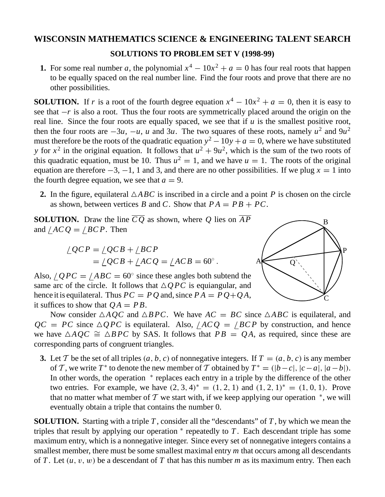## **WISCONSIN MATHEMATICS SCIENCE & ENGINEERING TALENT SEARCH**

## **SOLUTIONS TO PROBLEM SET V (1998-99)**

**1.** For some real number *a*, the polynomial  $x^4 - 10x^2 + a = 0$  has four real roots that happen to be equally spaced on the real number line. Find the four roots and prove that there are no other possibilities.

**SOLUTION.** If *r* is a root of the fourth degree equation  $x^4 - 10x^2 + a = 0$ , then it is easy to see that  $-r$  is also a root. Thus the four roots are symmetrically placed around the origin on the real line. Since the four roots are equally spaced, we see that if *u* is the smallest positive root, then the four roots are  $-3u$ ,  $-u$ , *u* and 3*u*. The two squares of these roots, namely  $u^2$  and  $9u^2$ must therefore be the roots of the quadratic equation  $y^2 - 10y + a = 0$ , where we have substituted *y* for  $x^2$  in the original equation. It follows that  $u^2 + 9u^2$ , which is the sum of the two roots of this quadratic equation, must be 10. Thus  $u^2 = 1$ , and we have  $u = 1$ . The roots of the original equation are therefore  $-3$ ,  $-1$ , 1 and 3, and there are no other possibilities. If we plug  $x = 1$  into the fourth degree equation, we see that  $a = 9$ .

**2.** In the figure, equilateral  $\triangle ABC$  is inscribed in a circle and a point *P* is chosen on the circle as shown, between vertices *B* and *C*. Show that  $PA = PB + PC$ .

**SOLUTION.** Draw the line  $\overline{CQ}$  as shown, where Q lies on  $\overline{AP}$ and  $/ACQ = /BCP$ . Then

$$
\angle QCP = \angle QCB + \angle BCP
$$
  
= 
$$
\angle QCB + \angle ACQ = \angle ACB = 60^{\circ}.
$$

Also,  $\angle QPC = \angle ABC = 60^\circ$  since these angles both subtend the same arc of the circle. It follows that  $\triangle QPC$  is equiangular, and hence it is equilateral. Thus  $PC = PQ$  and, since  $PA = PQ + QA$ , it suffices to show that  $OA = PB$ .



Now consider  $\triangle AQC$  and  $\triangle BPC$ . We have  $AC = BC$  since  $\triangle ABC$  is equilateral, and  $QC = PC$  since  $\triangle QPC$  is equilateral. Also,  $/ACQ = /BCP$  by construction, and hence we have  $\triangle AQC \cong \triangle BPC$  by SAS. It follows that  $PB = QA$ , as required, since these are corresponding parts of congruent triangles.

**3.** Let T be the set of all triples  $(a, b, c)$  of nonnegative integers. If  $T = (a, b, c)$  is any member of *T*, we write *T*<sup>\*</sup> to denote the new member of *T* obtained by  $T^* = (|b - c|, |c - a|, |a - b|)$ . In other words, the operation  $*$  replaces each entry in a triple by the difference of the other two entries. For example, we have  $(2, 3, 4)^* = (1, 2, 1)$  and  $(1, 2, 1)^* = (1, 0, 1)$ . Prove that no matter what member of T we start with, if we keep applying our operation  $*$ , we will eventually obtain a triple that contains the number 0.

**SOLUTION.** Starting with a triple *T* , consider all the "descendants" of *T* , by which we mean the triples that result by applying our operation <sup>∗</sup> repeatedly to *T* . Each descendant triple has some maximum entry, which is a nonnegative integer. Since every set of nonnegative integers contains a smallest member, there must be some smallest maximal entry *m* that occurs among all descendants of *T* . Let (*u*, v, w) be a descendant of *T* that has this number *m* as its maximum entry. Then each